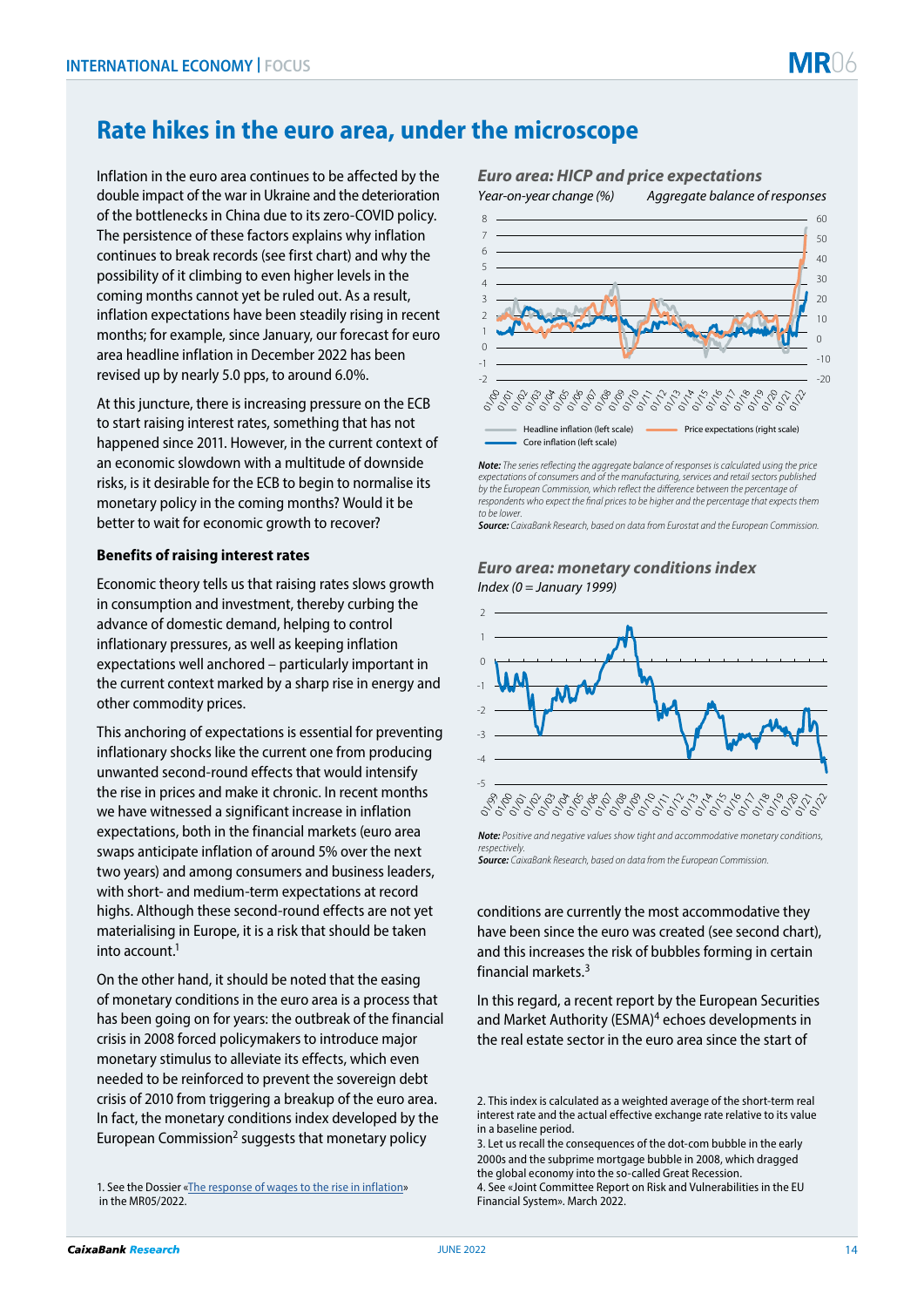# **Rate hikes in the euro area, under the microscope**

Inflation in the euro area continues to be affected by the double impact of the war in Ukraine and the deterioration of the bottlenecks in China due to its zero-COVID policy. The persistence of these factors explains why inflation continues to break records (see first chart) and why the possibility of it climbing to even higher levels in the coming months cannot yet be ruled out. As a result, inflation expectations have been steadily rising in recent months; for example, since January, our forecast for euro area headline inflation in December 2022 has been revised up by nearly 5.0 pps, to around 6.0%.

At this juncture, there is increasing pressure on the ECB to start raising interest rates, something that has not happened since 2011. However, in the current context of an economic slowdown with a multitude of downside risks, is it desirable for the ECB to begin to normalise its monetary policy in the coming months? Would it be better to wait for economic growth to recover?

## **Benefits of raising interest rates**

Economic theory tells us that raising rates slows growth in consumption and investment, thereby curbing the advance of domestic demand, helping to control inflationary pressures, as well as keeping inflation expectations well anchored – particularly important in the current context marked by a sharp rise in energy and other commodity prices.

This anchoring of expectations is essential for preventing inflationary shocks like the current one from producing unwanted second-round effects that would intensify the rise in prices and make it chronic. In recent months we have witnessed a significant increase in inflation expectations, both in the financial markets (euro area swaps anticipate inflation of around 5% over the next two years) and among consumers and business leaders, with short- and medium-term expectations at record highs. Although these second-round effects are not yet materialising in Europe, it is a risk that should be taken into account.1

On the other hand, it should be noted that the easing of monetary conditions in the euro area is a process that has been going on for years: the outbreak of the financial crisis in 2008 forced policymakers to introduce major monetary stimulus to alleviate its effects, which even needed to be reinforced to prevent the sovereign debt crisis of 2010 from triggering a breakup of the euro area. In fact, the monetary conditions index developed by the European Commission<sup>2</sup> suggests that monetary policy

1. See the Dossier [«The response of wages to the rise in inflation»](https://www.caixabankresearch.com/en/monthly-report/467/may-2022/response-wages-rise-inflation) in the MR05/2022.

# *Euro area: HICP and price expectations Year-on-year change (%) Aggregate balance of responses*



*Note: The series reflecting the aggregate balance of responses is calculated using the price expectations of consumers and of the manufacturing, services and retail sectors published by the European Commission, which reflect the difference between the percentage of respondents who expect the final prices to be higher and the percentage that expects them to be lower.*

*Source: CaixaBank Research, based on data from Eurostat and the European Commission.*

#### *Euro area: monetary conditions index Index (0 = January 1999)*



*Note: Positive and negative values show tight and accommodative monetary conditions, respectively. Source: CaixaBank Research, based on data from the European Commission.*

conditions are currently the most accommodative they have been since the euro was created (see second chart), and this increases the risk of bubbles forming in certain financial markets.3

In this regard, a recent report by the European Securities and Market Authority (ESMA)<sup>4</sup> echoes developments in the real estate sector in the euro area since the start of

<sup>2.</sup> This index is calculated as a weighted average of the short-term real interest rate and the actual effective exchange rate relative to its value in a baseline period.

<sup>3.</sup> Let us recall the consequences of the dot-com bubble in the early 2000s and the subprime mortgage bubble in 2008, which dragged the global economy into the so-called Great Recession. 4. See «Joint Committee Report on Risk and Vulnerabilities in the EU Financial System». March 2022.